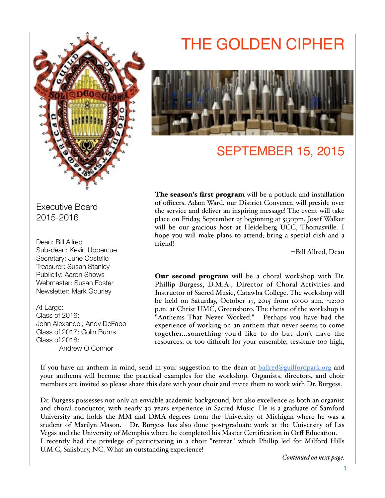

Executive Board 2015-2016

Dean: Bill Allred Sub-dean: Kevin Uppercue Secretary: June Costello Treasurer: Susan Stanley Publicity: Aaron Shows Webmaster: Susan Foster Newsletter: Mark Gourley

At Large: Class of 2016: John Alexander, Andy DeFabo Class of 2017: Colin Burns Class of 2018: Andrew O'Connor

# THE GOLDEN CIPHER



# SEPTEMBER 15, 2015

The season's first program will be a potluck and installation of officers. Adam Ward, our District Convener, will preside over the service and deliver an inspiring message! The event will take place on Friday, September 25 beginning at 5:30pm. Josef Walker will be our gracious host at Heidelberg UCC, Thomasville. I hope you will make plans to attend; bring a special dish and a friend!

--Bill Allred, Dean

Our second program will be a choral workshop with Dr. Phillip Burgess, D.M.A., Director of Choral Activities and Instructor of Sacred Music, Catawba College. The workshop will be held on Saturday, October 17, 2015 from 10:00 a.m. -12:00 p.m. at Christ UMC, Greensboro. The theme of the workshop is "Anthems That Never Worked." Perhaps you have had the experience of working on an anthem that never seems to come together...something you'd like to do but don't have the resources, or too difficult for your ensemble, tessiture too high,

If you have an anthem in mind, send in your suggestion to the dean at [ballred@guilfordpark.org](mailto:ballred@guilfordpark.org) and your anthems will become the practical examples for the workshop. Organists, directors, and choir members are invited so please share this date with your choir and invite them to work with Dr. Burgess.

Dr. Burgess possesses not only an enviable academic background, but also excellence as both an organist and choral conductor, with nearly 30 years experience in Sacred Music. He is a graduate of Samford University and holds the MM and DMA degrees from the University of Michigan where he was a student of Marilyn Mason. Dr. Burgess has also done post-graduate work at the University of Las Vegas and the University of Memphis where he completed his Master Certification in Orff Education. I recently had the privilege of participating in a choir "retreat" which Phillip led for Milford Hills U.M.C, Salisbury, NC. What an outstanding experience!

*Continued on next page.*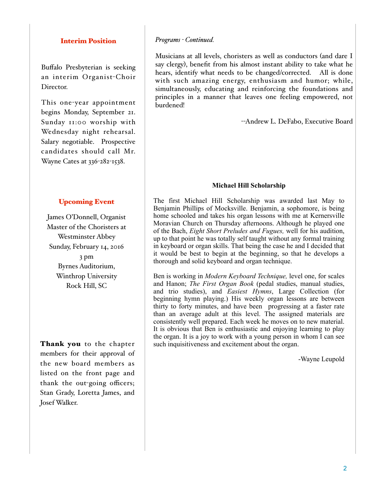#### Interim Position

Buffalo Presbyterian is seeking an interim Organist-Choir Director.

This one-year appointment begins Monday, September 21. Sunday 11:00 worship with Wednesday night rehearsal. Salary negotiable. Prospective candidates should call Mr. Wayne Cates at 336-282-1538.

#### Upcoming Event

James O'Donnell, Organist Master of the Choristers at Westminster Abbey Sunday, February 14, 2016 3 pm Byrnes Auditorium, Winthrop University Rock Hill, SC

Thank you to the chapter members for their approval of the new board members as listed on the front page and thank the out-going officers; Stan Grady, Loretta James, and Josef Walker.

#### *Programs - Continued.*

Musicians at all levels, choristers as well as conductors (and dare I say clergy), benefit from his almost instant ability to take what he hears, identify what needs to be changed/corrected. All is done with such amazing energy, enthusiasm and humor; while, simultaneously, educating and reinforcing the foundations and principles in a manner that leaves one feeling empowered, not burdened!

--Andrew L. DeFabo, Executive Board

#### **Michael Hill Scholarship**

The first Michael Hill Scholarship was awarded last May to Benjamin Phillips of Mocksville. Benjamin, a sophomore, is being home schooled and takes his organ lessons with me at Kernersville Moravian Church on Thursday afternoons. Although he played one of the Bach, *Eight Short Preludes and Fugues,* well for his audition, up to that point he was totally self taught without any formal training in keyboard or organ skills. That being the case he and I decided that it would be best to begin at the beginning, so that he develops a thorough and solid keyboard and organ technique.

Ben is working in *Modern Keyboard Technique,* level one, for scales and Hanon; *The First Organ Book* (pedal studies, manual studies, and trio studies), and *Easiest Hymns*, Large Collection (for beginning hymn playing.) His weekly organ lessons are between thirty to forty minutes, and have been progressing at a faster rate than an average adult at this level. The assigned materials are consistently well prepared. Each week he moves on to new material. It is obvious that Ben is enthusiastic and enjoying learning to play the organ. It is a joy to work with a young person in whom I can see such inquisitiveness and excitement about the organ.

-Wayne Leupold